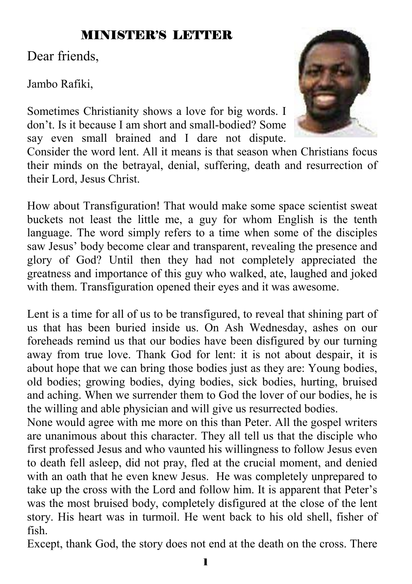## MINISTER'S LETTER

Dear friends,

Jambo Rafiki,

Sometimes Christianity shows a love for big words. I don't. Is it because I am short and small-bodied? Some say even small brained and I dare not dispute.



Consider the word lent. All it means is that season when Christians focus their minds on the betrayal, denial, suffering, death and resurrection of their Lord, Jesus Christ.

How about Transfiguration! That would make some space scientist sweat buckets not least the little me, a guy for whom English is the tenth language. The word simply refers to a time when some of the disciples saw Jesus' body become clear and transparent, revealing the presence and glory of God? Until then they had not completely appreciated the greatness and importance of this guy who walked, ate, laughed and joked with them. Transfiguration opened their eyes and it was awesome.

Lent is a time for all of us to be transfigured, to reveal that shining part of us that has been buried inside us. On Ash Wednesday, ashes on our foreheads remind us that our bodies have been disfigured by our turning away from true love. Thank God for lent: it is not about despair, it is about hope that we can bring those bodies just as they are: Young bodies, old bodies; growing bodies, dying bodies, sick bodies, hurting, bruised and aching. When we surrender them to God the lover of our bodies, he is the willing and able physician and will give us resurrected bodies.

None would agree with me more on this than Peter. All the gospel writers are unanimous about this character. They all tell us that the disciple who first professed Jesus and who vaunted his willingness to follow Jesus even to death fell asleep, did not pray, fled at the crucial moment, and denied with an oath that he even knew Jesus. He was completely unprepared to take up the cross with the Lord and follow him. It is apparent that Peter's was the most bruised body, completely disfigured at the close of the lent story. His heart was in turmoil. He went back to his old shell, fisher of fish.

Except, thank God, the story does not end at the death on the cross. There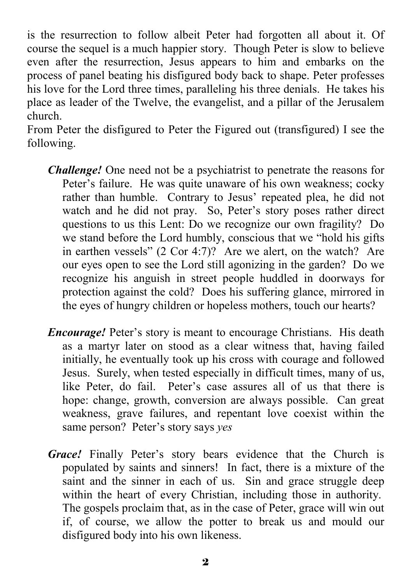is the resurrection to follow albeit Peter had forgotten all about it. Of course the sequel is a much happier story. Though Peter is slow to believe even after the resurrection, Jesus appears to him and embarks on the process of panel beating his disfigured body back to shape. Peter professes his love for the Lord three times, paralleling his three denials. He takes his place as leader of the Twelve, the evangelist, and a pillar of the Jerusalem church.

From Peter the disfigured to Peter the Figured out (transfigured) I see the following.

- *Challenge!* One need not be a psychiatrist to penetrate the reasons for Peter's failure. He was quite unaware of his own weakness; cocky rather than humble. Contrary to Jesus' repeated plea, he did not watch and he did not pray. So, Peter's story poses rather direct questions to us this Lent: Do we recognize our own fragility? Do we stand before the Lord humbly, conscious that we "hold his gifts in earthen vessels" (2 Cor 4:7)? Are we alert, on the watch? Are our eyes open to see the Lord still agonizing in the garden? Do we recognize his anguish in street people huddled in doorways for protection against the cold? Does his suffering glance, mirrored in the eyes of hungry children or hopeless mothers, touch our hearts?
- *Encourage!* Peter's story is meant to encourage Christians. His death as a martyr later on stood as a clear witness that, having failed initially, he eventually took up his cross with courage and followed Jesus. Surely, when tested especially in difficult times, many of us, like Peter, do fail. Peter's case assures all of us that there is hope: change, growth, conversion are always possible. Can great weakness, grave failures, and repentant love coexist within the same person? Peter's story says *yes*
- *Grace!* Finally Peter's story bears evidence that the Church is populated by saints and sinners! In fact, there is a mixture of the saint and the sinner in each of us. Sin and grace struggle deep within the heart of every Christian, including those in authority. The gospels proclaim that, as in the case of Peter, grace will win out if, of course, we allow the potter to break us and mould our disfigured body into his own likeness.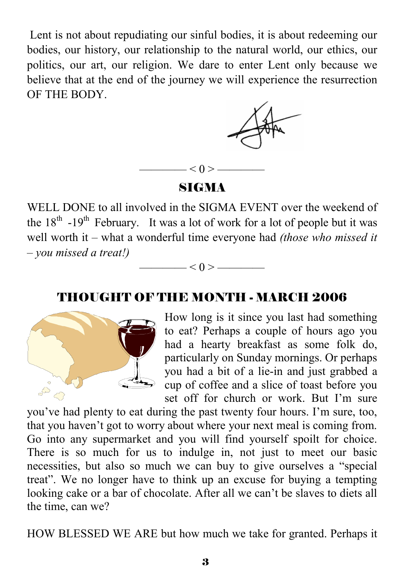Lent is not about repudiating our sinful bodies, it is about redeeming our bodies, our history, our relationship to the natural world, our ethics, our politics, our art, our religion. We dare to enter Lent only because we believe that at the end of the journey we will experience the resurrection OF THE BODY.



#### SIGMA

 $- < 0 > -$ 

WELL DONE to all involved in the SIGMA EVENT over the weekend of the  $18<sup>th</sup> -19<sup>th</sup>$  February. It was a lot of work for a lot of people but it was well worth it – what a wonderful time everyone had *(those who missed it – you missed a treat!)* 

## THOUGHT OF THE MONTH - MARCH 2006

—— $< 0 >$ ———



How long is it since you last had something to eat? Perhaps a couple of hours ago you had a hearty breakfast as some folk do, particularly on Sunday mornings. Or perhaps you had a bit of a lie-in and just grabbed a cup of coffee and a slice of toast before you set off for church or work. But I'm sure

you've had plenty to eat during the past twenty four hours. I'm sure, too, that you haven't got to worry about where your next meal is coming from. Go into any supermarket and you will find yourself spoilt for choice. There is so much for us to indulge in, not just to meet our basic necessities, but also so much we can buy to give ourselves a "special treat". We no longer have to think up an excuse for buying a tempting looking cake or a bar of chocolate. After all we can't be slaves to diets all the time, can we?

HOW BLESSED WE ARE but how much we take for granted. Perhaps it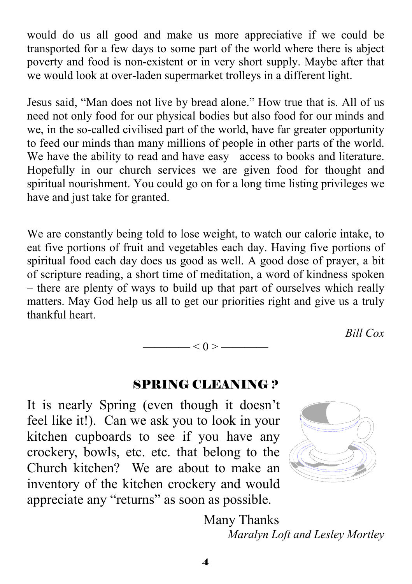would do us all good and make us more appreciative if we could be transported for a few days to some part of the world where there is abject poverty and food is non-existent or in very short supply. Maybe after that we would look at over-laden supermarket trolleys in a different light.

Jesus said, "Man does not live by bread alone." How true that is. All of us need not only food for our physical bodies but also food for our minds and we, in the so-called civilised part of the world, have far greater opportunity to feed our minds than many millions of people in other parts of the world. We have the ability to read and have easy access to books and literature. Hopefully in our church services we are given food for thought and spiritual nourishment. You could go on for a long time listing privileges we have and just take for granted.

We are constantly being told to lose weight, to watch our calorie intake, to eat five portions of fruit and vegetables each day. Having five portions of spiritual food each day does us good as well. A good dose of prayer, a bit of scripture reading, a short time of meditation, a word of kindness spoken – there are plenty of ways to build up that part of ourselves which really matters. May God help us all to get our priorities right and give us a truly thankful heart.

*Bill Cox* 

#### SPRING CLEANING ?

 $-$  < 0 >  $-$ 

It is nearly Spring (even though it doesn't feel like it!). Can we ask you to look in your kitchen cupboards to see if you have any crockery, bowls, etc. etc. that belong to the Church kitchen? We are about to make an inventory of the kitchen crockery and would appreciate any "returns" as soon as possible.



 Many Thanks *Maralyn Loft and Lesley Mortley*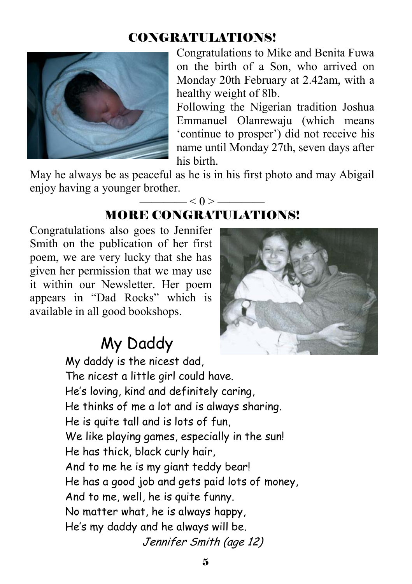## CONGRATULATIONS!



Congratulations to Mike and Benita Fuwa on the birth of a Son, who arrived on Monday 20th February at 2.42am, with a healthy weight of 8lb.

Following the Nigerian tradition Joshua Emmanuel Olanrewaju (which means 'continue to prosper') did not receive his name until Monday 27th, seven days after his birth.

May he always be as peaceful as he is in his first photo and may Abigail enjoy having a younger brother.

## $- < 0 >$  — MORE CONGRATULATIONS!

Congratulations also goes to Jennifer Smith on the publication of her first poem, we are very lucky that she has given her permission that we may use it within our Newsletter. Her poem appears in "Dad Rocks" which is available in all good bookshops.



# My Daddy

 My daddy is the nicest dad, The nicest a little girl could have. He's loving, kind and definitely caring, He thinks of me a lot and is always sharing. He is quite tall and is lots of fun, We like playing games, especially in the sun! He has thick, black curly hair, And to me he is my giant teddy bear! He has a good job and gets paid lots of money, And to me, well, he is quite funny. No matter what, he is always happy, He's my daddy and he always will be. Jennifer Smith (age 12)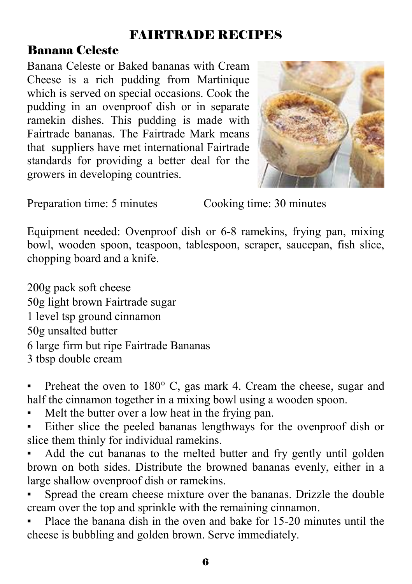## FAIRTRADE RECIPES

## Banana Celeste

Banana Celeste or Baked bananas with Cream Cheese is a rich pudding from Martinique which is served on special occasions. Cook the pudding in an ovenproof dish or in separate ramekin dishes. This pudding is made with Fairtrade bananas. The Fairtrade Mark means that suppliers have met international Fairtrade standards for providing a better deal for the growers in developing countries.



Preparation time: 5 minutes Cooking time: 30 minutes

Equipment needed: Ovenproof dish or 6-8 ramekins, frying pan, mixing bowl, wooden spoon, teaspoon, tablespoon, scraper, saucepan, fish slice, chopping board and a knife.

200g pack soft cheese 50g light brown Fairtrade sugar 1 level tsp ground cinnamon 50g unsalted butter 6 large firm but ripe Fairtrade Bananas 3 tbsp double cream

Preheat the oven to  $180^{\circ}$  C, gas mark 4. Cream the cheese, sugar and half the cinnamon together in a mixing bowl using a wooden spoon.

Melt the butter over a low heat in the frying pan.

Either slice the peeled bananas lengthways for the ovenproof dish or slice them thinly for individual ramekins.

Add the cut bananas to the melted butter and fry gently until golden brown on both sides. Distribute the browned bananas evenly, either in a large shallow ovenproof dish or ramekins.

Spread the cream cheese mixture over the bananas. Drizzle the double cream over the top and sprinkle with the remaining cinnamon.

Place the banana dish in the oven and bake for 15-20 minutes until the cheese is bubbling and golden brown. Serve immediately.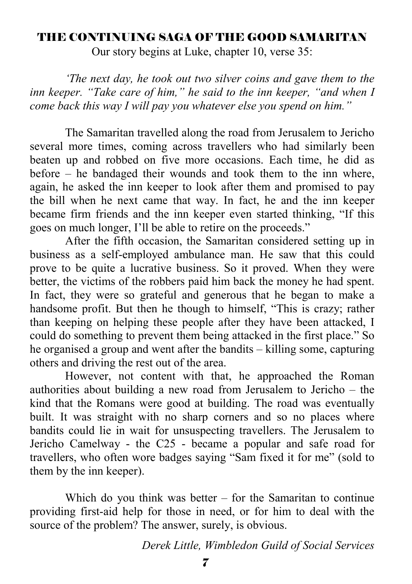#### THE CONTINUING SAGA OF THE GOOD SAMARITAN

Our story begins at Luke, chapter 10, verse 35:

 *'The next day, he took out two silver coins and gave them to the inn keeper. "Take care of him," he said to the inn keeper, "and when I come back this way I will pay you whatever else you spend on him."* 

 The Samaritan travelled along the road from Jerusalem to Jericho several more times, coming across travellers who had similarly been beaten up and robbed on five more occasions. Each time, he did as before – he bandaged their wounds and took them to the inn where, again, he asked the inn keeper to look after them and promised to pay the bill when he next came that way. In fact, he and the inn keeper became firm friends and the inn keeper even started thinking, "If this goes on much longer, I'll be able to retire on the proceeds."

 After the fifth occasion, the Samaritan considered setting up in business as a self-employed ambulance man. He saw that this could prove to be quite a lucrative business. So it proved. When they were better, the victims of the robbers paid him back the money he had spent. In fact, they were so grateful and generous that he began to make a handsome profit. But then he though to himself, "This is crazy; rather than keeping on helping these people after they have been attacked, I could do something to prevent them being attacked in the first place." So he organised a group and went after the bandits – killing some, capturing others and driving the rest out of the area.

 However, not content with that, he approached the Roman authorities about building a new road from Jerusalem to Jericho – the kind that the Romans were good at building. The road was eventually built. It was straight with no sharp corners and so no places where bandits could lie in wait for unsuspecting travellers. The Jerusalem to Jericho Camelway - the C25 - became a popular and safe road for travellers, who often wore badges saying "Sam fixed it for me" (sold to them by the inn keeper).

Which do you think was better – for the Samaritan to continue providing first-aid help for those in need, or for him to deal with the source of the problem? The answer, surely, is obvious.

*Derek Little, Wimbledon Guild of Social Services*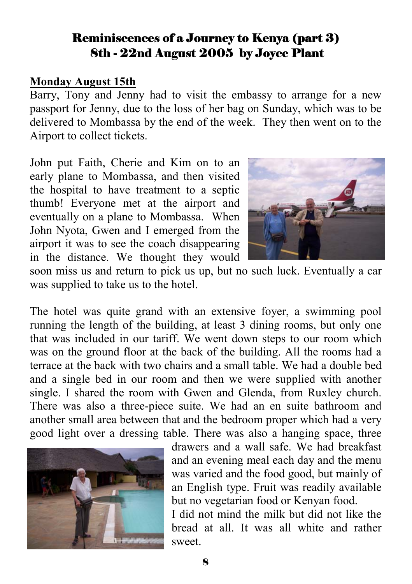## Reminiscences of a Journey to Kenya (part 3) 8th - 22nd August 2005 by Joyce Plant

#### **Monday August 15th**

Barry, Tony and Jenny had to visit the embassy to arrange for a new passport for Jenny, due to the loss of her bag on Sunday, which was to be delivered to Mombassa by the end of the week. They then went on to the Airport to collect tickets.

John put Faith, Cherie and Kim on to an early plane to Mombassa, and then visited the hospital to have treatment to a septic thumb! Everyone met at the airport and eventually on a plane to Mombassa. When John Nyota, Gwen and I emerged from the airport it was to see the coach disappearing in the distance. We thought they would



soon miss us and return to pick us up, but no such luck. Eventually a car was supplied to take us to the hotel.

The hotel was quite grand with an extensive foyer, a swimming pool running the length of the building, at least 3 dining rooms, but only one that was included in our tariff. We went down steps to our room which was on the ground floor at the back of the building. All the rooms had a terrace at the back with two chairs and a small table. We had a double bed and a single bed in our room and then we were supplied with another single. I shared the room with Gwen and Glenda, from Ruxley church. There was also a three-piece suite. We had an en suite bathroom and another small area between that and the bedroom proper which had a very good light over a dressing table. There was also a hanging space, three

![](_page_7_Picture_7.jpeg)

drawers and a wall safe. We had breakfast and an evening meal each day and the menu was varied and the food good, but mainly of an English type. Fruit was readily available but no vegetarian food or Kenyan food.

I did not mind the milk but did not like the bread at all. It was all white and rather sweet.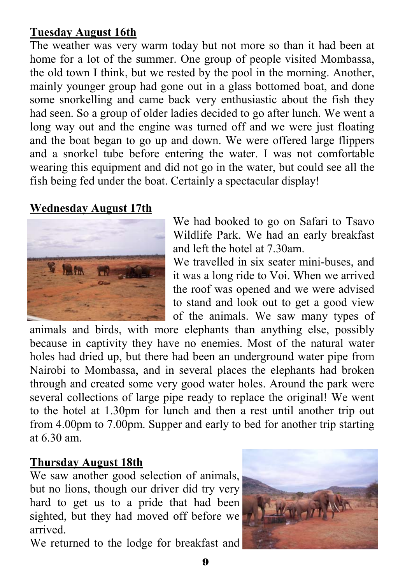## **Tuesday August 16th**

The weather was very warm today but not more so than it had been at home for a lot of the summer. One group of people visited Mombassa, the old town I think, but we rested by the pool in the morning. Another, mainly younger group had gone out in a glass bottomed boat, and done some snorkelling and came back very enthusiastic about the fish they had seen. So a group of older ladies decided to go after lunch. We went a long way out and the engine was turned off and we were just floating and the boat began to go up and down. We were offered large flippers and a snorkel tube before entering the water. I was not comfortable wearing this equipment and did not go in the water, but could see all the fish being fed under the boat. Certainly a spectacular display!

#### **Wednesday August 17th**

![](_page_8_Picture_3.jpeg)

We had booked to go on Safari to Tsavo Wildlife Park. We had an early breakfast and left the hotel at 7.30am.

We travelled in six seater mini-buses, and it was a long ride to Voi. When we arrived the roof was opened and we were advised to stand and look out to get a good view of the animals. We saw many types of

animals and birds, with more elephants than anything else, possibly because in captivity they have no enemies. Most of the natural water holes had dried up, but there had been an underground water pipe from Nairobi to Mombassa, and in several places the elephants had broken through and created some very good water holes. Around the park were several collections of large pipe ready to replace the original! We went to the hotel at 1.30pm for lunch and then a rest until another trip out from 4.00pm to 7.00pm. Supper and early to bed for another trip starting at 6.30 am.

#### **Thursday August 18th**

We saw another good selection of animals, but no lions, though our driver did try very hard to get us to a pride that had been sighted, but they had moved off before we arrived.

We returned to the lodge for breakfast and

![](_page_8_Picture_10.jpeg)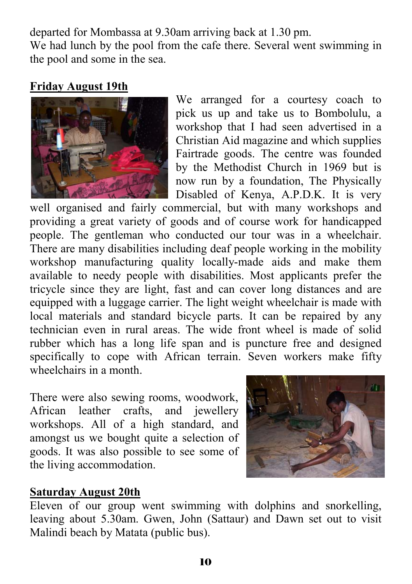departed for Mombassa at 9.30am arriving back at 1.30 pm. We had lunch by the pool from the cafe there. Several went swimming in the pool and some in the sea.

## **Friday August 19th**

![](_page_9_Picture_2.jpeg)

We arranged for a courtesy coach to pick us up and take us to Bombolulu, a workshop that I had seen advertised in a Christian Aid magazine and which supplies Fairtrade goods. The centre was founded by the Methodist Church in 1969 but is now run by a foundation, The Physically Disabled of Kenya, A.P.D.K. It is very

well organised and fairly commercial, but with many workshops and providing a great variety of goods and of course work for handicapped people. The gentleman who conducted our tour was in a wheelchair. There are many disabilities including deaf people working in the mobility workshop manufacturing quality locally-made aids and make them available to needy people with disabilities. Most applicants prefer the tricycle since they are light, fast and can cover long distances and are equipped with a luggage carrier. The light weight wheelchair is made with local materials and standard bicycle parts. It can be repaired by any technician even in rural areas. The wide front wheel is made of solid rubber which has a long life span and is puncture free and designed specifically to cope with African terrain. Seven workers make fifty wheelchairs in a month.

There were also sewing rooms, woodwork, African leather crafts, and jewellery workshops. All of a high standard, and amongst us we bought quite a selection of goods. It was also possible to see some of the living accommodation.

![](_page_9_Picture_6.jpeg)

#### **Saturday August 20th**

Eleven of our group went swimming with dolphins and snorkelling, leaving about 5.30am. Gwen, John (Sattaur) and Dawn set out to visit Malindi beach by Matata (public bus).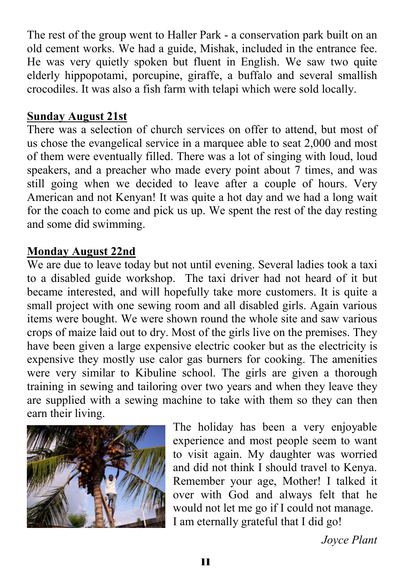The rest of the group went to Haller Park - a conservation park built on an old cement works. We had a guide, Mishak, included in the entrance fee. He was very quietly spoken but fluent in English. We saw two quite elderly hippopotami, porcupine, giraffe, a buffalo and several smallish crocodiles. It was also a fish farm with telapi which were sold locally.

#### **Sunday August 21st**

There was a selection of church services on offer to attend, but most of us chose the evangelical service in a marquee able to seat 2,000 and most of them were eventually filled. There was a lot of singing with loud, loud speakers, and a preacher who made every point about 7 times, and was still going when we decided to leave after a couple of hours. Very American and not Kenyan! It was quite a hot day and we had a long wait for the coach to come and pick us up. We spent the rest of the day resting and some did swimming.

## **Monday August 22nd**

We are due to leave today but not until evening. Several ladies took a taxi to a disabled guide workshop. The taxi driver had not heard of it but became interested, and will hopefully take more customers. It is quite a small project with one sewing room and all disabled girls. Again various items were bought. We were shown round the whole site and saw various crops of maize laid out to dry. Most of the girls live on the premises. They have been given a large expensive electric cooker but as the electricity is expensive they mostly use calor gas burners for cooking. The amenities were very similar to Kibuline school. The girls are given a thorough training in sewing and tailoring over two years and when they leave they are supplied with a sewing machine to take with them so they can then earn their living.

![](_page_10_Picture_5.jpeg)

The holiday has been a very enjoyable experience and most people seem to want to visit again. My daughter was worried and did not think I should travel to Kenya. Remember your age, Mother! I talked it over with God and always felt that he would not let me go if I could not manage. I am eternally grateful that I did go!

*Joyce Plant*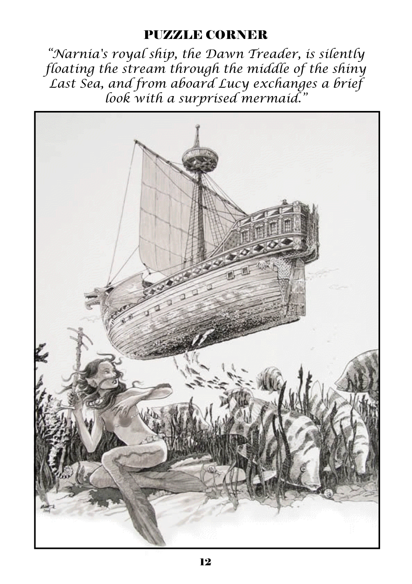## PUZZLE CORNER

*"Narnia's royal ship, the Dawn Treader, is silently floating the stream through the middle of the shiny Last Sea, and from aboard Lucy exchanges a brief look with a surprised mermaid."*

![](_page_11_Picture_2.jpeg)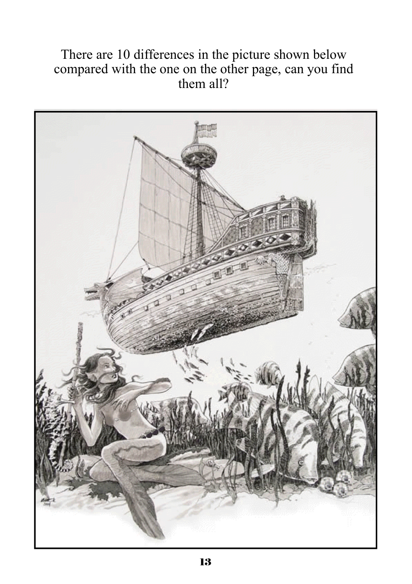## There are 10 differences in the picture shown below compared with the one on the other page, can you find them all?

![](_page_12_Picture_1.jpeg)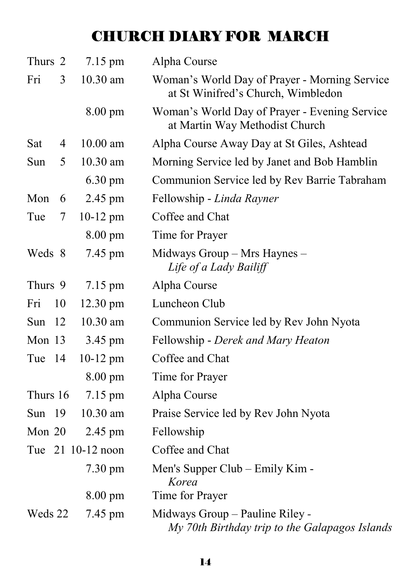# CHURCH DIARY FOR MARCH

| Thurs 2  |    | 7.15 pm            | Alpha Course                                                                        |
|----------|----|--------------------|-------------------------------------------------------------------------------------|
| Fri      | 3  | 10.30 am           | Woman's World Day of Prayer - Morning Service<br>at St Winifred's Church, Wimbledon |
|          |    | $8.00 \text{ pm}$  | Woman's World Day of Prayer - Evening Service<br>at Martin Way Methodist Church     |
| Sat      | 4  | $10.00$ am         | Alpha Course Away Day at St Giles, Ashtead                                          |
| Sun      | 5  | 10.30 am           | Morning Service led by Janet and Bob Hamblin                                        |
|          |    | 6.30 pm            | Communion Service led by Rev Barrie Tabraham                                        |
| Mon      | 6  | 2.45 pm            | Fellowship - Linda Rayner                                                           |
| Tue      | 7  | $10-12$ pm         | Coffee and Chat                                                                     |
|          |    | 8.00 pm            | Time for Prayer                                                                     |
| Weds 8   |    | 7.45 pm            | Midways Group – Mrs Haynes –<br>Life of a Lady Bailiff                              |
| Thurs 9  |    | 7.15 pm            | Alpha Course                                                                        |
| Fri      | 10 | $12.30 \text{ pm}$ | Luncheon Club                                                                       |
| Sun      | 12 | $10.30$ am         | Communion Service led by Rev John Nyota                                             |
| Mon 13   |    | 3.45 pm            | Fellowship - Derek and Mary Heaton                                                  |
| Tue      | 14 | $10-12$ pm         | Coffee and Chat                                                                     |
|          |    | 8.00 pm            | Time for Prayer                                                                     |
| Thurs 16 |    | $7.15 \text{ pm}$  | Alpha Course                                                                        |
| Sun 19   |    | 10.30 am           | Praise Service led by Rev John Nyota                                                |
| Mon $20$ |    | 2.45 pm            | Fellowship                                                                          |
|          |    | Tue 21 10-12 noon  | Coffee and Chat                                                                     |
|          |    | $7.30 \text{ pm}$  | Men's Supper Club – Emily Kim -<br>Korea                                            |
|          |    | $8.00 \text{ pm}$  | Time for Prayer                                                                     |
| Weds 22  |    | 7.45 pm            | Midways Group - Pauline Riley -<br>My 70th Birthday trip to the Galapagos Islands   |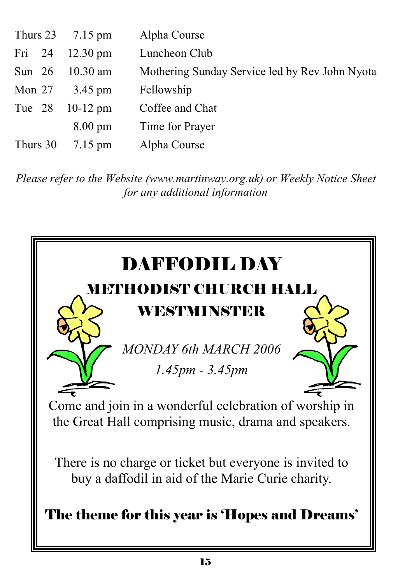|          | Thurs $23$ 7.15 pm                 | Alpha Course                                   |
|----------|------------------------------------|------------------------------------------------|
|          | Fri $24$ 12.30 pm                  | Luncheon Club                                  |
|          | Sun 26 10.30 am                    | Mothering Sunday Service led by Rev John Nyota |
|          | Mon $27 \frac{3.45 \text{ pm}}{2}$ | Fellowship                                     |
|          | Tue 28 10-12 pm                    | Coffee and Chat                                |
|          | $8.00 \text{ pm}$                  | Time for Prayer                                |
| Thurs 30 | $7.15 \text{ pm}$                  | Alpha Course                                   |

*Please refer to the Website (www.martinway.org.uk) or Weekly Notice Sheet for any additional information*

![](_page_14_Picture_2.jpeg)